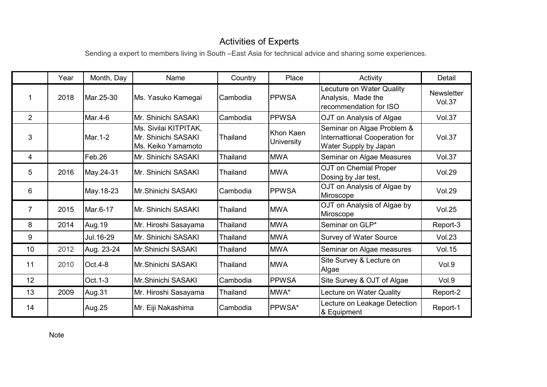## Activities of Experts

Sending a expert to members living in South –East Asia for technical advice and sharing some experiences.

|                | Year | Month, Day | Name                                                               | Country         | Place                          | Activity                                                                              | Detail                      |
|----------------|------|------------|--------------------------------------------------------------------|-----------------|--------------------------------|---------------------------------------------------------------------------------------|-----------------------------|
|                | 2018 | Mar.25-30  | Ms. Yasuko Kamegai                                                 | Cambodia        | <b>PPWSA</b>                   | Lecuture on Water Quality<br>Analysis, Made the<br>recommendation for ISO             | <b>Newsletter</b><br>Vol.37 |
| $\overline{2}$ |      | Mar.4-6    | Mr. Shinichi SASAKI                                                | Cambodia        | <b>PPWSA</b>                   | OJT on Analysis of Algae                                                              | <b>Vol.37</b>               |
| 3              |      | Mar.1-2    | Ms. Sivilai KITPITAK,<br>Mr. Shinichi SASAKI<br>Ms. Keiko Yamamoto | <b>Thailand</b> | Khon Kaen<br><b>University</b> | Seminar on Algae Problem &<br>Internattional Cooperation for<br>Water Supply by Japan | <b>Vol.37</b>               |
| 4              |      | Feb.26     | Mr. Shinichi SASAKI                                                | <b>Thailand</b> | <b>MWA</b>                     | Seminar on Algae Measures                                                             | Vol.37                      |
| 5              | 2016 | May.24-31  | IMr. Shinichi SASAKI                                               | Thailand        | <b>MWA</b>                     | OJT on Chemial Proper<br>Dosing by Jar test,                                          | <b>Vol.29</b>               |
| 6              |      | May.18-23  | IMr.Shinichi SASAKI                                                | Cambodia        | <b>PPWSA</b>                   | OJT on Analysis of Algae by<br>Miroscope                                              | <b>Vol.29</b>               |
| $\overline{7}$ | 2015 | Mar.6-17   | Mr. Shinichi SASAKI                                                | <b>Thailand</b> | <b>MWA</b>                     | OJT on Analysis of Algae by<br>Miroscope                                              | <b>Vol.25</b>               |
| 8              | 2014 | Aug.19     | Mr. Hiroshi Sasayama                                               | Thailand        | <b>MWA</b>                     | Seminar on GLP*                                                                       | Report-3                    |
| 9              |      | Jul. 16-29 | Mr. Shinichi SASAKI                                                | Thailand        | <b>MWA</b>                     | <b>Survey of Water Source</b>                                                         | <b>Vol.23</b>               |
| 10             | 2012 | Aug. 23-24 | <b>I</b> Mr.Shinichi SASAKI                                        | Thailand        | <b>MWA</b>                     | Seminar on Algae measures                                                             | <b>Vol.15</b>               |
| 11             | 2010 | $Oct.4-8$  | IMr.Shinichi SASAKI                                                | <b>Thailand</b> | <b>MWA</b>                     | Site Survey & Lecture on<br>Algae                                                     | Vol.9                       |
| 12             |      | Oct. 1-3   | Mr.Shinichi SASAKI                                                 | Cambodia        | <b>PPWSA</b>                   | Site Survey & OJT of Algae                                                            | Vol.9                       |
| 13             | 2009 | Aug.31     | Mr. Hiroshi Sasayama                                               | Thailand        | MWA*                           | Lecture on Water Quality                                                              | Report-2                    |
| 14             |      | Aug.25     | Mr. Eiji Nakashima                                                 | Cambodia        | PPWSA*                         | Lecture on Leakage Detection<br>& Equipment                                           | Report-1                    |